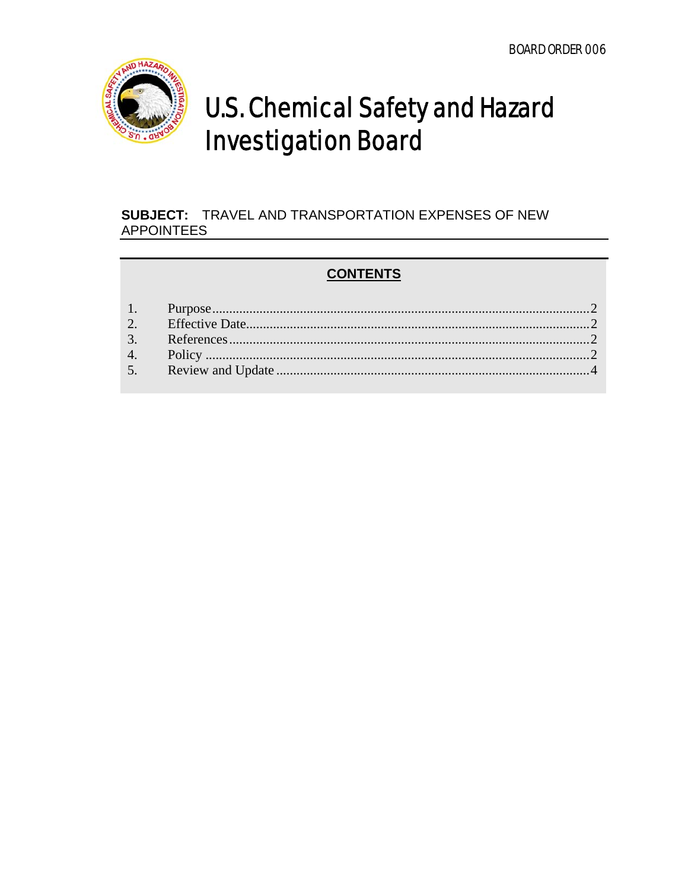

## **U.S. Chemical Safety and Hazard Investigation Board**

## **SUBJECT: TRAVEL AND TRANSPORTATION EXPENSES OF NEW APPOINTEES**

## **CONTENTS**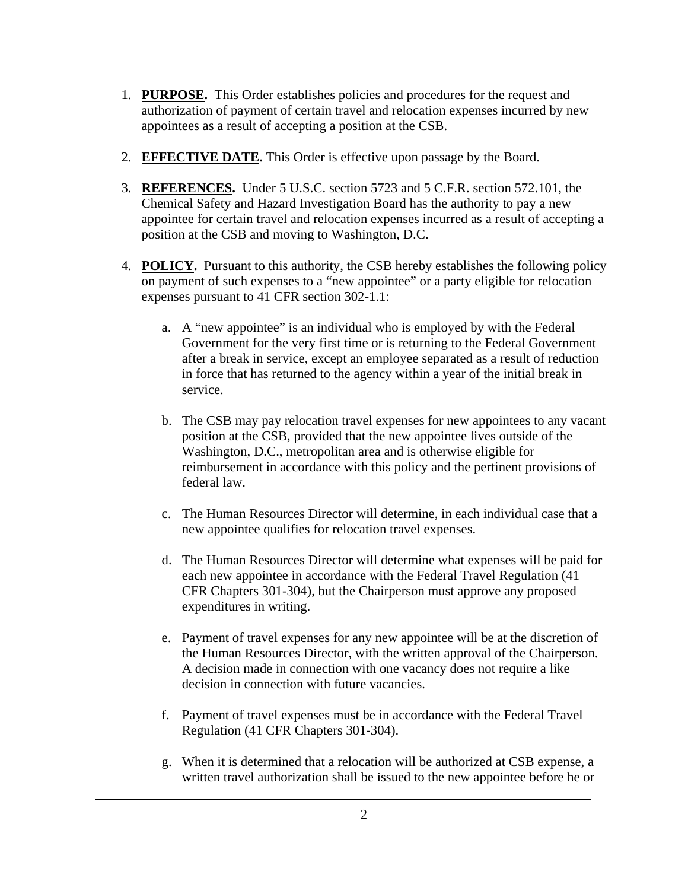- 1. **PURPOSE.** This Order establishes policies and procedures for the request and authorization of payment of certain travel and relocation expenses incurred by new appointees as a result of accepting a position at the CSB.
- 2. **EFFECTIVE DATE.** This Order is effective upon passage by the Board.
- 3. **REFERENCES.** Under 5 U.S.C. section 5723 and 5 C.F.R. section 572.101, the Chemical Safety and Hazard Investigation Board has the authority to pay a new appointee for certain travel and relocation expenses incurred as a result of accepting a position at the CSB and moving to Washington, D.C.
- 4. **POLICY.** Pursuant to this authority, the CSB hereby establishes the following policy on payment of such expenses to a "new appointee" or a party eligible for relocation expenses pursuant to 41 CFR section 302-1.1:
	- a. A "new appointee" is an individual who is employed by with the Federal Government for the very first time or is returning to the Federal Government after a break in service, except an employee separated as a result of reduction in force that has returned to the agency within a year of the initial break in service.
	- b. The CSB may pay relocation travel expenses for new appointees to any vacant position at the CSB, provided that the new appointee lives outside of the Washington, D.C., metropolitan area and is otherwise eligible for reimbursement in accordance with this policy and the pertinent provisions of federal law.
	- c. The Human Resources Director will determine, in each individual case that a new appointee qualifies for relocation travel expenses.
	- d. The Human Resources Director will determine what expenses will be paid for each new appointee in accordance with the Federal Travel Regulation (41 CFR Chapters 301-304), but the Chairperson must approve any proposed expenditures in writing.
	- e. Payment of travel expenses for any new appointee will be at the discretion of the Human Resources Director, with the written approval of the Chairperson. A decision made in connection with one vacancy does not require a like decision in connection with future vacancies.
	- f. Payment of travel expenses must be in accordance with the Federal Travel Regulation (41 CFR Chapters 301-304).
	- g. When it is determined that a relocation will be authorized at CSB expense, a written travel authorization shall be issued to the new appointee before he or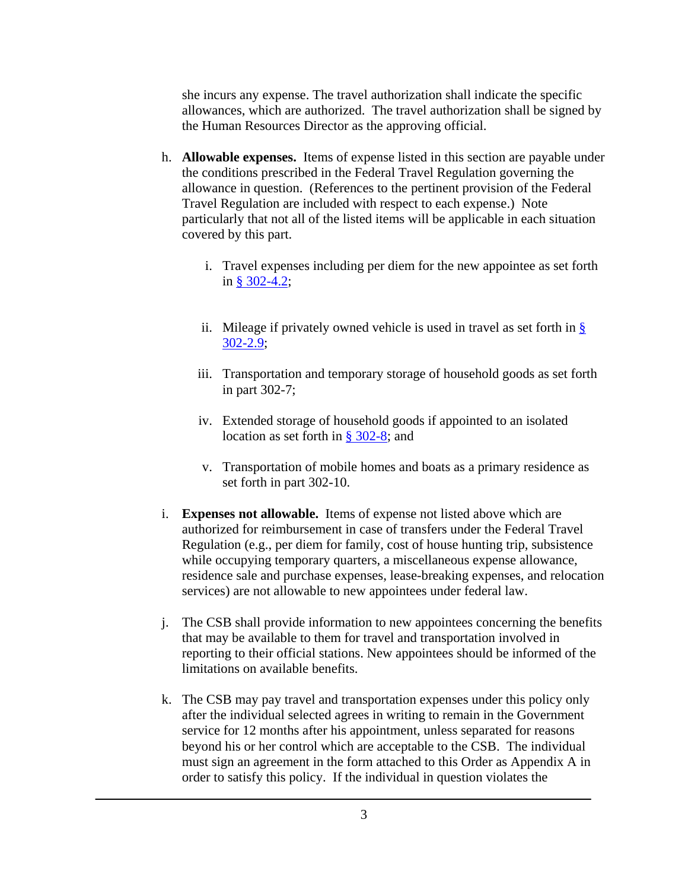she incurs any expense. The travel authorization shall indicate the specific allowances, which are authorized. The travel authorization shall be signed by the Human Resources Director as the approving official.

- h. **Allowable expenses.** Items of expense listed in this section are payable under the conditions prescribed in the Federal Travel Regulation governing the allowance in question. (References to the pertinent provision of the Federal Travel Regulation are included with respect to each expense.) Note particularly that not all of the listed items will be applicable in each situation covered by this part.
	- i. Travel expenses including per diem for the new appointee as set forth in [§ 302-4.2](http://policyworks.gov/org/main/mt/homepage/mtt/ftr/newftr/302-2_1.html#BM302_2_1);
	- ii. Mileage if privately owned vehicle is used in travel as set forth in  $\S$ [302-2.](http://policyworks.gov/org/main/mt/homepage/mtt/ftr/newftr/302-2_3.html#BM302_2_3)9;
	- iii. Transportation and temporary storage of household goods as set forth in part 302-7;
	- iv. Extended storage of household goods if appointed to an isolated location as set forth in  $\S$  302-8; and
	- v. Transportation of mobile homes and boats as a primary residence as set forth in part 302-10.
- i. **Expenses not allowable.** Items of expense not listed above which are authorized for reimbursement in case of transfers under the Federal Travel Regulation (e.g., per diem for family, cost of house hunting trip, subsistence while occupying temporary quarters, a miscellaneous expense allowance, residence sale and purchase expenses, lease-breaking expenses, and relocation services) are not allowable to new appointees under federal law.
- j. The CSB shall provide information to new appointees concerning the benefits that may be available to them for travel and transportation involved in reporting to their official stations. New appointees should be informed of the limitations on available benefits.
- k. The CSB may pay travel and transportation expenses under this policy only after the individual selected agrees in writing to remain in the Government service for 12 months after his appointment, unless separated for reasons beyond his or her control which are acceptable to the CSB. The individual must sign an agreement in the form attached to this Order as Appendix A in order to satisfy this policy. If the individual in question violates the